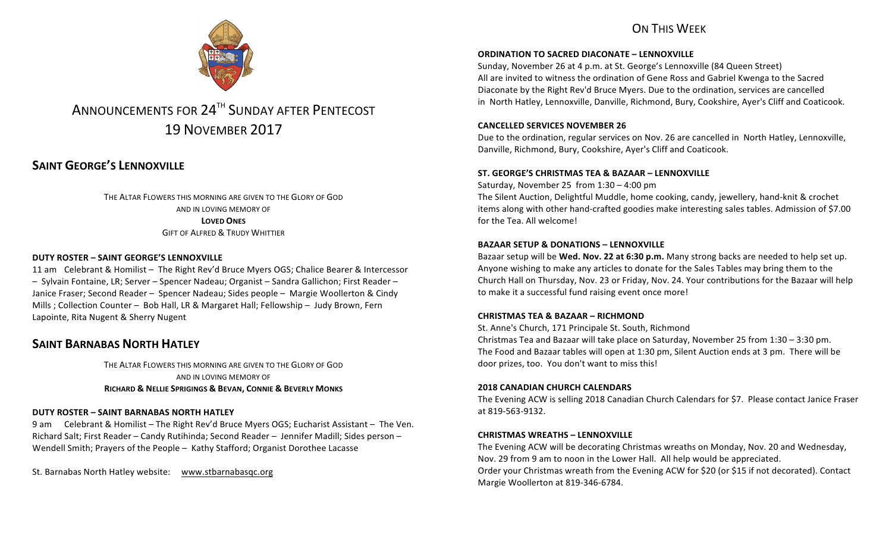## ON THIS WFFK



# ANNOUNCEMENTS FOR 24<sup>TH</sup> SUNDAY AFTER PENTECOST 19 NOVEMBER 2017

## **SAINT GEORGE'S LENNOXVILLE**

THE ALTAR FLOWERS THIS MORNING ARE GIVEN TO THE GLORY OF GOD AND IN LOVING MEMORY OF **LOVED ONES GIFT OF ALFRED & TRUDY WHITTIER** 

#### **DUTY ROSTER – SAINT GEORGE'S LENNOXVILLE**

11 am Celebrant & Homilist – The Right Rev'd Bruce Myers OGS; Chalice Bearer & Intercessor  $-$  Sylvain Fontaine, LR; Server – Spencer Nadeau; Organist – Sandra Gallichon; First Reader – Janice Fraser; Second Reader – Spencer Nadeau; Sides people – Margie Woollerton & Cindy Mills ; Collection Counter – Bob Hall, LR & Margaret Hall; Fellowship – Judy Brown, Fern Lapointe, Rita Nugent & Sherry Nugent

## **SAINT BARNABAS NORTH HATLEY**

THE ALTAR FLOWERS THIS MORNING ARE GIVEN TO THE GLORY OF GOD AND IN LOVING MEMORY OF **RICHARD & NELLIE SPRIGINGS & BEVAN, CONNIE & BEVERLY MONKS**

#### **DUTY ROSTER – SAINT BARNABAS NORTH HATLEY**

9 am Celebrant & Homilist – The Right Rev'd Bruce Myers OGS; Eucharist Assistant – The Ven. Richard Salt; First Reader – Candy Rutihinda; Second Reader – Jennifer Madill; Sides person – Wendell Smith; Prayers of the People – Kathy Stafford; Organist Dorothee Lacasse

St. Barnabas North Hatley website: www.stbarnabasqc.org

#### **ORDINATION TO SACRED DIACONATE – LENNOXVILLE**

Sunday, November 26 at 4 p.m. at St. George's Lennoxville (84 Queen Street) All are invited to witness the ordination of Gene Ross and Gabriel Kwenga to the Sacred Diaconate by the Right Rev'd Bruce Myers. Due to the ordination, services are cancelled in North Hatley, Lennoxville, Danville, Richmond, Bury, Cookshire, Ayer's Cliff and Coaticook.

#### **CANCELLED SERVICES NOVEMBER 26**

Due to the ordination, regular services on Nov. 26 are cancelled in North Hatley, Lennoxville, Danville, Richmond, Bury, Cookshire, Ayer's Cliff and Coaticook.

#### **ST. GEORGE'S CHRISTMAS TEA & BAZAAR – LENNOXVILLE**

Saturday, November 25 from  $1:30 - 4:00$  pm

The Silent Auction, Delightful Muddle, home cooking, candy, jewellery, hand-knit & crochet items along with other hand-crafted goodies make interesting sales tables. Admission of \$7.00 for the Tea. All welcome!

#### **BAZAAR SETUP & DONATIONS – LENNOXVILLE**

Bazaar setup will be **Wed. Nov. 22 at 6:30 p.m.** Many strong backs are needed to help set up. Anyone wishing to make any articles to donate for the Sales Tables may bring them to the Church Hall on Thursday, Nov. 23 or Friday, Nov. 24. Your contributions for the Bazaar will help to make it a successful fund raising event once more!

#### **CHRISTMAS TEA & BAZAAR – RICHMOND**

St. Anne's Church, 171 Principale St. South, Richmond Christmas Tea and Bazaar will take place on Saturday, November 25 from  $1:30 - 3:30$  pm. The Food and Bazaar tables will open at 1:30 pm, Silent Auction ends at 3 pm. There will be door prizes, too. You don't want to miss this!

#### **2018 CANADIAN CHURCH CALENDARS**

The Evening ACW is selling 2018 Canadian Church Calendars for \$7. Please contact Janice Fraser at 819-563-9132.

#### **CHRISTMAS WREATHS – LENNOXVILLE**

The Evening ACW will be decorating Christmas wreaths on Monday, Nov. 20 and Wednesday, Nov. 29 from 9 am to noon in the Lower Hall. All help would be appreciated. Order your Christmas wreath from the Evening ACW for \$20 (or \$15 if not decorated). Contact Margie Woollerton at 819-346-6784.